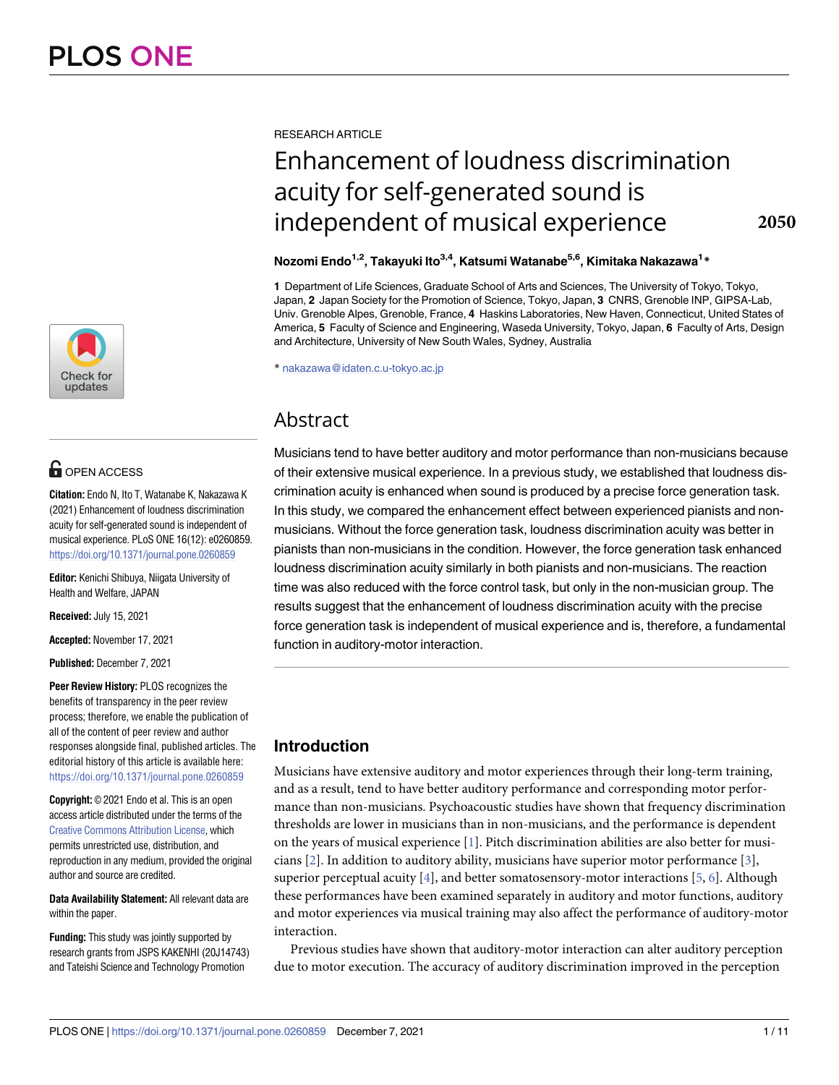

# **G** OPEN ACCESS

**Citation:** Endo N, Ito T, Watanabe K, Nakazawa K (2021) Enhancement of loudness discrimination acuity for self-generated sound is independent of musical experience. PLoS ONE 16(12): e0260859. <https://doi.org/10.1371/journal.pone.0260859>

**Editor:** Kenichi Shibuya, Niigata University of Health and Welfare, JAPAN

**Received:** July 15, 2021

**Accepted:** November 17, 2021

**Published:** December 7, 2021

**Peer Review History:** PLOS recognizes the benefits of transparency in the peer review process; therefore, we enable the publication of all of the content of peer review and author responses alongside final, published articles. The editorial history of this article is available here: <https://doi.org/10.1371/journal.pone.0260859>

**Copyright:** © 2021 Endo et al. This is an open access article distributed under the terms of the [Creative Commons Attribution License,](http://creativecommons.org/licenses/by/4.0/) which permits unrestricted use, distribution, and reproduction in any medium, provided the original author and source are credited.

**Data Availability Statement:** All relevant data are within the paper.

**Funding:** This study was jointly supported by research grants from JSPS KAKENHI (20J14743) and Tateishi Science and Technology Promotion

<span id="page-0-0"></span>RESEARCH ARTICLE

# Enhancement of loudness discrimination acuity for self-generated sound is independent of musical experience

# **Nozomi Endo1,2, Takayuki Ito3,4, Katsumi Watanabe5,6, Kimitaka Nakazawa1 \***

**1** Department of Life Sciences, Graduate School of Arts and Sciences, The University of Tokyo, Tokyo, Japan, **2** Japan Society for the Promotion of Science, Tokyo, Japan, **3** CNRS, Grenoble INP, GIPSA-Lab, Univ. Grenoble Alpes, Grenoble, France, **4** Haskins Laboratories, New Haven, Connecticut, United States of America, **5** Faculty of Science and Engineering, Waseda University, Tokyo, Japan, **6** Faculty of Arts, Design and Architecture, University of New South Wales, Sydney, Australia

\* nakazawa@idaten.c.u-tokyo.ac.jp

# Abstract

Musicians tend to have better auditory and motor performance than non-musicians because of their extensive musical experience. In a previous study, we established that loudness discrimination acuity is enhanced when sound is produced by a precise force generation task. In this study, we compared the enhancement effect between experienced pianists and nonmusicians. Without the force generation task, loudness discrimination acuity was better in pianists than non-musicians in the condition. However, the force generation task enhanced loudness discrimination acuity similarly in both pianists and non-musicians. The reaction time was also reduced with the force control task, but only in the non-musician group. The results suggest that the enhancement of loudness discrimination acuity with the precise force generation task is independent of musical experience and is, therefore, a fundamental function in auditory-motor interaction.

# **Introduction**

Musicians have extensive auditory and motor experiences through their long-term training, and as a result, tend to have better auditory performance and corresponding motor performance than non-musicians. Psychoacoustic studies have shown that frequency discrimination thresholds are lower in musicians than in non-musicians, and the performance is dependent on the years of musical experience [[1](#page-8-0)]. Pitch discrimination abilities are also better for musicians  $[2]$  $[2]$ . In addition to auditory ability, musicians have superior motor performance  $[3]$  $[3]$ , superior perceptual acuity [\[4](#page-8-0)], and better somatosensory-motor interactions [\[5,](#page-8-0) [6](#page-8-0)]. Although these performances have been examined separately in auditory and motor functions, auditory and motor experiences via musical training may also affect the performance of auditory-motor interaction.

Previous studies have shown that auditory-motor interaction can alter auditory perception due to motor execution. The accuracy of auditory discrimination improved in the perception

**2050**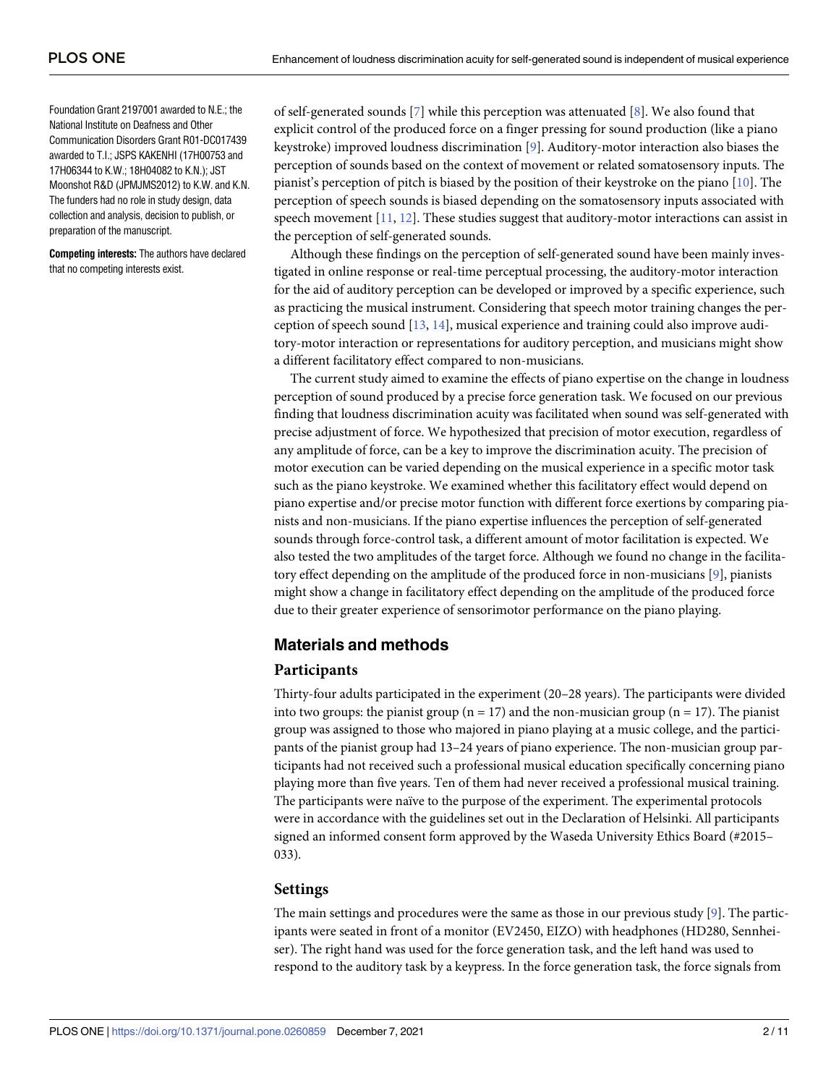<span id="page-1-0"></span>Foundation Grant 2197001 awarded to N.E.; the National Institute on Deafness and Other Communication Disorders Grant R01-DC017439 awarded to T.I.; JSPS KAKENHI (17H00753 and 17H06344 to K.W.; 18H04082 to K.N.); JST Moonshot R&D (JPMJMS2012) to K.W. and K.N. The funders had no role in study design, data collection and analysis, decision to publish, or preparation of the manuscript.

**Competing interests:** The authors have declared that no competing interests exist.

of self-generated sounds [\[7\]](#page-8-0) while this perception was attenuated [[8\]](#page-8-0). We also found that explicit control of the produced force on a finger pressing for sound production (like a piano keystroke) improved loudness discrimination [[9\]](#page-9-0). Auditory-motor interaction also biases the perception of sounds based on the context of movement or related somatosensory inputs. The pianist's perception of pitch is biased by the position of their keystroke on the piano [[10](#page-9-0)]. The perception of speech sounds is biased depending on the somatosensory inputs associated with speech movement  $[11, 12]$  $[11, 12]$  $[11, 12]$  $[11, 12]$ . These studies suggest that auditory-motor interactions can assist in the perception of self-generated sounds.

Although these findings on the perception of self-generated sound have been mainly investigated in online response or real-time perceptual processing, the auditory-motor interaction for the aid of auditory perception can be developed or improved by a specific experience, such as practicing the musical instrument. Considering that speech motor training changes the perception of speech sound [\[13,](#page-9-0) [14\]](#page-9-0), musical experience and training could also improve auditory-motor interaction or representations for auditory perception, and musicians might show a different facilitatory effect compared to non-musicians.

The current study aimed to examine the effects of piano expertise on the change in loudness perception of sound produced by a precise force generation task. We focused on our previous finding that loudness discrimination acuity was facilitated when sound was self-generated with precise adjustment of force. We hypothesized that precision of motor execution, regardless of any amplitude of force, can be a key to improve the discrimination acuity. The precision of motor execution can be varied depending on the musical experience in a specific motor task such as the piano keystroke. We examined whether this facilitatory effect would depend on piano expertise and/or precise motor function with different force exertions by comparing pianists and non-musicians. If the piano expertise influences the perception of self-generated sounds through force-control task, a different amount of motor facilitation is expected. We also tested the two amplitudes of the target force. Although we found no change in the facilitatory effect depending on the amplitude of the produced force in non-musicians [\[9](#page-9-0)], pianists might show a change in facilitatory effect depending on the amplitude of the produced force due to their greater experience of sensorimotor performance on the piano playing.

# **Materials and methods**

## **Participants**

Thirty-four adults participated in the experiment (20–28 years). The participants were divided into two groups: the pianist group ( $n = 17$ ) and the non-musician group ( $n = 17$ ). The pianist group was assigned to those who majored in piano playing at a music college, and the participants of the pianist group had 13–24 years of piano experience. The non-musician group participants had not received such a professional musical education specifically concerning piano playing more than five years. Ten of them had never received a professional musical training. The participants were naïve to the purpose of the experiment. The experimental protocols were in accordance with the guidelines set out in the Declaration of Helsinki. All participants signed an informed consent form approved by the Waseda University Ethics Board (#2015– 033).

#### **Settings**

The main settings and procedures were the same as those in our previous study [\[9\]](#page-9-0). The participants were seated in front of a monitor (EV2450, EIZO) with headphones (HD280, Sennheiser). The right hand was used for the force generation task, and the left hand was used to respond to the auditory task by a keypress. In the force generation task, the force signals from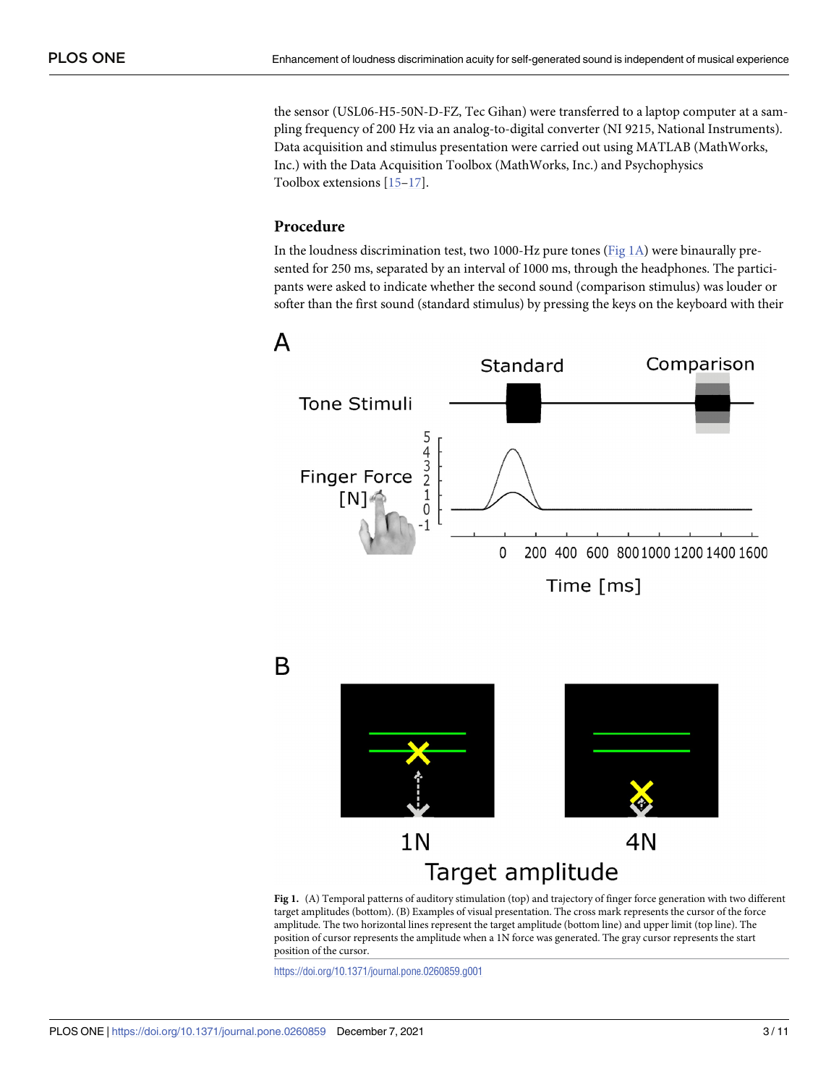<span id="page-2-0"></span>the sensor (USL06-H5-50N-D-FZ, Tec Gihan) were transferred to a laptop computer at a sampling frequency of 200 Hz via an analog-to-digital converter (NI 9215, National Instruments). Data acquisition and stimulus presentation were carried out using MATLAB (MathWorks, Inc.) with the Data Acquisition Toolbox (MathWorks, Inc.) and Psychophysics Toolbox extensions [\[15–17\]](#page-9-0).

# **Procedure**

In the loudness discrimination test, two 1000-Hz pure tones (Fig 1A) were binaurally presented for 250 ms, separated by an interval of 1000 ms, through the headphones. The participants were asked to indicate whether the second sound (comparison stimulus) was louder or softer than the first sound (standard stimulus) by pressing the keys on the keyboard with their



B



**Fig 1.** (A) Temporal patterns of auditory stimulation (top) and trajectory of finger force generation with two different target amplitudes (bottom). (B) Examples of visual presentation. The cross mark represents the cursor of the force amplitude. The two horizontal lines represent the target amplitude (bottom line) and upper limit (top line). The position of cursor represents the amplitude when a 1N force was generated. The gray cursor represents the start position of the cursor.

<https://doi.org/10.1371/journal.pone.0260859.g001>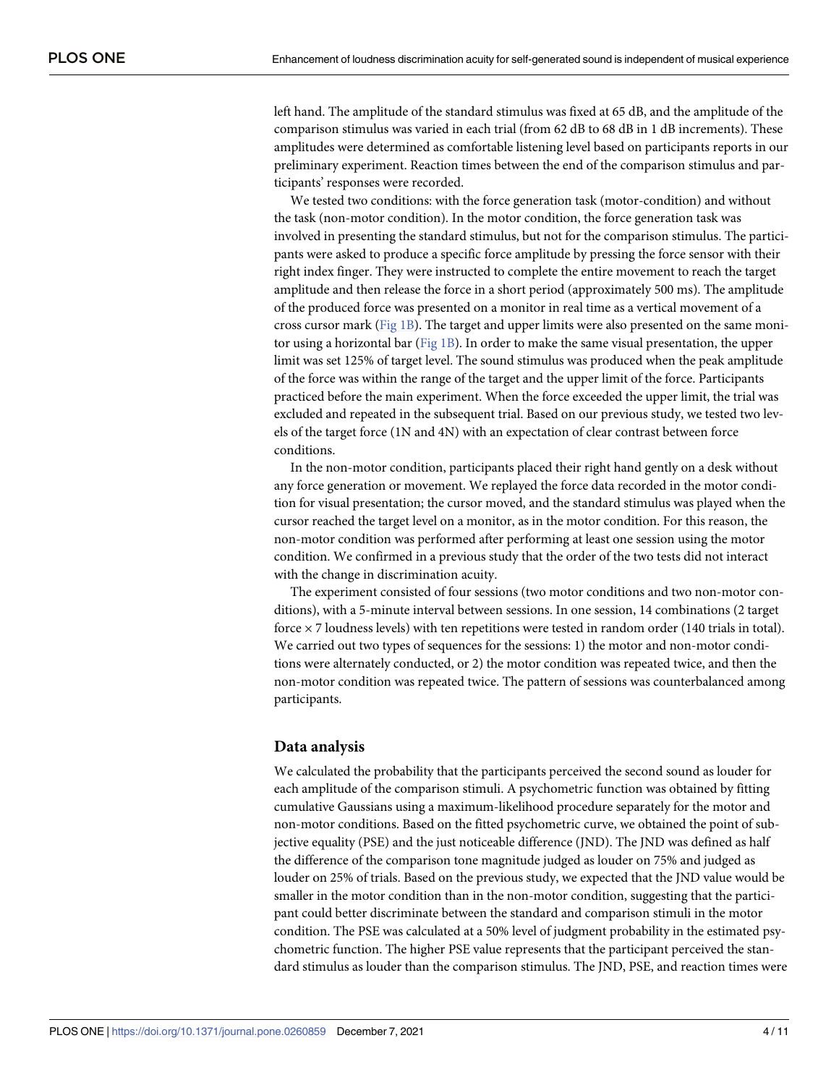left hand. The amplitude of the standard stimulus was fixed at 65 dB, and the amplitude of the comparison stimulus was varied in each trial (from 62 dB to 68 dB in 1 dB increments). These amplitudes were determined as comfortable listening level based on participants reports in our preliminary experiment. Reaction times between the end of the comparison stimulus and participants' responses were recorded.

We tested two conditions: with the force generation task (motor-condition) and without the task (non-motor condition). In the motor condition, the force generation task was involved in presenting the standard stimulus, but not for the comparison stimulus. The participants were asked to produce a specific force amplitude by pressing the force sensor with their right index finger. They were instructed to complete the entire movement to reach the target amplitude and then release the force in a short period (approximately 500 ms). The amplitude of the produced force was presented on a monitor in real time as a vertical movement of a cross cursor mark [\(Fig](#page-2-0) 1B). The target and upper limits were also presented on the same monitor using a horizontal bar ([Fig](#page-2-0) 1B). In order to make the same visual presentation, the upper limit was set 125% of target level. The sound stimulus was produced when the peak amplitude of the force was within the range of the target and the upper limit of the force. Participants practiced before the main experiment. When the force exceeded the upper limit, the trial was excluded and repeated in the subsequent trial. Based on our previous study, we tested two levels of the target force (1N and 4N) with an expectation of clear contrast between force conditions.

In the non-motor condition, participants placed their right hand gently on a desk without any force generation or movement. We replayed the force data recorded in the motor condition for visual presentation; the cursor moved, and the standard stimulus was played when the cursor reached the target level on a monitor, as in the motor condition. For this reason, the non-motor condition was performed after performing at least one session using the motor condition. We confirmed in a previous study that the order of the two tests did not interact with the change in discrimination acuity.

The experiment consisted of four sessions (two motor conditions and two non-motor conditions), with a 5-minute interval between sessions. In one session, 14 combinations (2 target force  $\times$  7 loudness levels) with ten repetitions were tested in random order (140 trials in total). We carried out two types of sequences for the sessions: 1) the motor and non-motor conditions were alternately conducted, or 2) the motor condition was repeated twice, and then the non-motor condition was repeated twice. The pattern of sessions was counterbalanced among participants.

## **Data analysis**

We calculated the probability that the participants perceived the second sound as louder for each amplitude of the comparison stimuli. A psychometric function was obtained by fitting cumulative Gaussians using a maximum-likelihood procedure separately for the motor and non-motor conditions. Based on the fitted psychometric curve, we obtained the point of subjective equality (PSE) and the just noticeable difference (JND). The JND was defined as half the difference of the comparison tone magnitude judged as louder on 75% and judged as louder on 25% of trials. Based on the previous study, we expected that the JND value would be smaller in the motor condition than in the non-motor condition, suggesting that the participant could better discriminate between the standard and comparison stimuli in the motor condition. The PSE was calculated at a 50% level of judgment probability in the estimated psychometric function. The higher PSE value represents that the participant perceived the standard stimulus as louder than the comparison stimulus. The JND, PSE, and reaction times were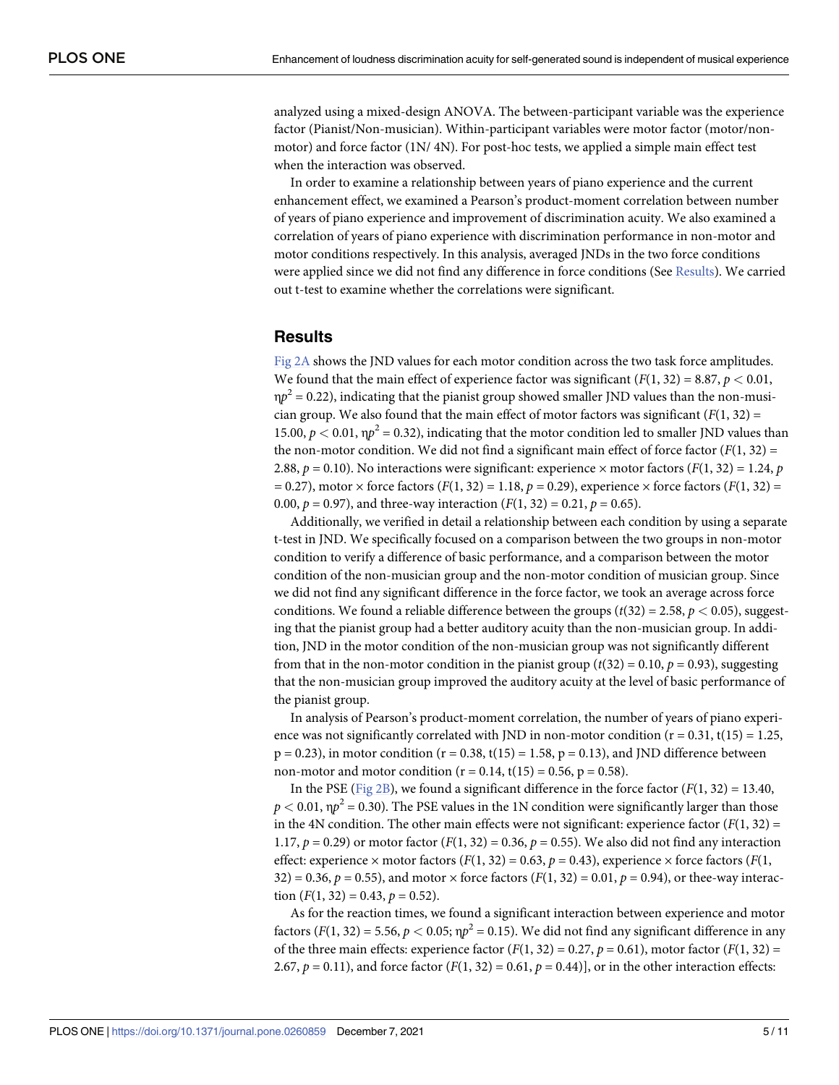<span id="page-4-0"></span>analyzed using a mixed-design ANOVA. The between-participant variable was the experience factor (Pianist/Non-musician). Within-participant variables were motor factor (motor/nonmotor) and force factor (1N/ 4N). For post-hoc tests, we applied a simple main effect test when the interaction was observed.

In order to examine a relationship between years of piano experience and the current enhancement effect, we examined a Pearson's product-moment correlation between number of years of piano experience and improvement of discrimination acuity. We also examined a correlation of years of piano experience with discrimination performance in non-motor and motor conditions respectively. In this analysis, averaged JNDs in the two force conditions were applied since we did not find any difference in force conditions (See Results). We carried out t-test to examine whether the correlations were significant.

## **Results**

[Fig](#page-5-0) 2A shows the JND values for each motor condition across the two task force amplitudes. We found that the main effect of experience factor was significant  $(F(1, 32) = 8.87, p < 0.01$ ,  $\eta p^2 = 0.22$ ), indicating that the pianist group showed smaller JND values than the non-musician group. We also found that the main effect of motor factors was significant  $(F(1, 32) =$ 15.00,  $p < 0.01$ ,  $p^2 = 0.32$ ), indicating that the motor condition led to smaller JND values than the non-motor condition. We did not find a significant main effect of force factor  $(F(1, 32) =$ 2.88,  $p = 0.10$ ). No interactions were significant: experience  $\times$  motor factors ( $F(1, 32) = 1.24$ ,  $p$ *=* 0.27), motor × force factors (*F*(1, 32) = 1.18, *p =* 0.29), experience × force factors (*F*(1, 32) = 0.00,  $p = 0.97$ ), and three-way interaction ( $F(1, 32) = 0.21$ ,  $p = 0.65$ ).

Additionally, we verified in detail a relationship between each condition by using a separate t-test in JND. We specifically focused on a comparison between the two groups in non-motor condition to verify a difference of basic performance, and a comparison between the motor condition of the non-musician group and the non-motor condition of musician group. Since we did not find any significant difference in the force factor, we took an average across force conditions. We found a reliable difference between the groups ( $t(32) = 2.58$ ,  $p < 0.05$ ), suggesting that the pianist group had a better auditory acuity than the non-musician group. In addition, JND in the motor condition of the non-musician group was not significantly different from that in the non-motor condition in the pianist group  $(t(32) = 0.10, p = 0.93)$ , suggesting that the non-musician group improved the auditory acuity at the level of basic performance of the pianist group.

In analysis of Pearson's product-moment correlation, the number of years of piano experience was not significantly correlated with JND in non-motor condition  $(r = 0.31, t(15) = 1.25,$  $p = 0.23$ ), in motor condition ( $r = 0.38$ ,  $t(15) = 1.58$ ,  $p = 0.13$ ), and JND difference between non-motor and motor condition ( $r = 0.14$ ,  $t(15) = 0.56$ ,  $p = 0.58$ ).

In the PSE [\(Fig](#page-5-0) 2B), we found a significant difference in the force factor  $(F(1, 32) = 13.40$ ,  $p < 0.01$ ,  $\eta p^2 = 0.30$ ). The PSE values in the 1N condition were significantly larger than those in the 4N condition. The other main effects were not significant: experience factor  $(F(1, 32) =$ 1.17,  $p = 0.29$  or motor factor  $(F(1, 32) = 0.36, p = 0.55)$ . We also did not find any interaction effect: experience  $\times$  motor factors ( $F(1, 32) = 0.63$ ,  $p = 0.43$ ), experience  $\times$  force factors ( $F(1, 32) = 0.63$ ,  $p = 0.43$ ), experience  $\times$  force factors 32) = 0.36,  $p = 0.55$ ), and motor  $\times$  force factors ( $F(1, 32) = 0.01$ ,  $p = 0.94$ ), or thee-way interaction  $(F(1, 32) = 0.43, p = 0.52)$ .

As for the reaction times, we found a significant interaction between experience and motor factors  $(F(1, 32) = 5.56, p < 0.05; \eta p^2 = 0.15)$ . We did not find any significant difference in any of the three main effects: experience factor  $(F(1, 32) = 0.27, p = 0.61)$ , motor factor  $(F(1, 32) = 0.27, p = 0.61)$ 2.67,  $p = 0.11$ ), and force factor  $(F(1, 32) = 0.61, p = 0.44)$ , or in the other interaction effects: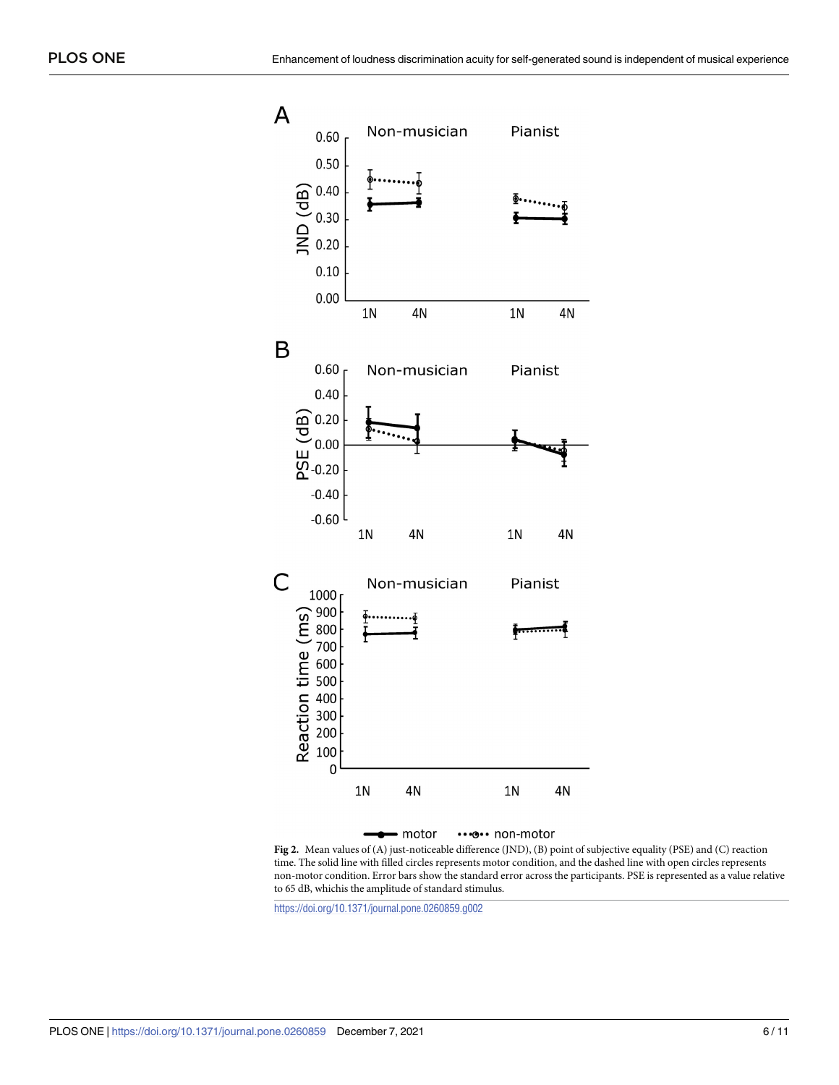<span id="page-5-0"></span>

**[Fig](#page-4-0) 2.** Mean values of (A) just-noticeable difference (JND), (B) point of subjective equality (PSE) and (C) reaction time. The solid line with filled circles represents motor condition, and the dashed line with open circles represents non-motor condition. Error bars show the standard error across the participants. PSE is represented as a value relative to 65 dB, whichis the amplitude of standard stimulus.

<https://doi.org/10.1371/journal.pone.0260859.g002>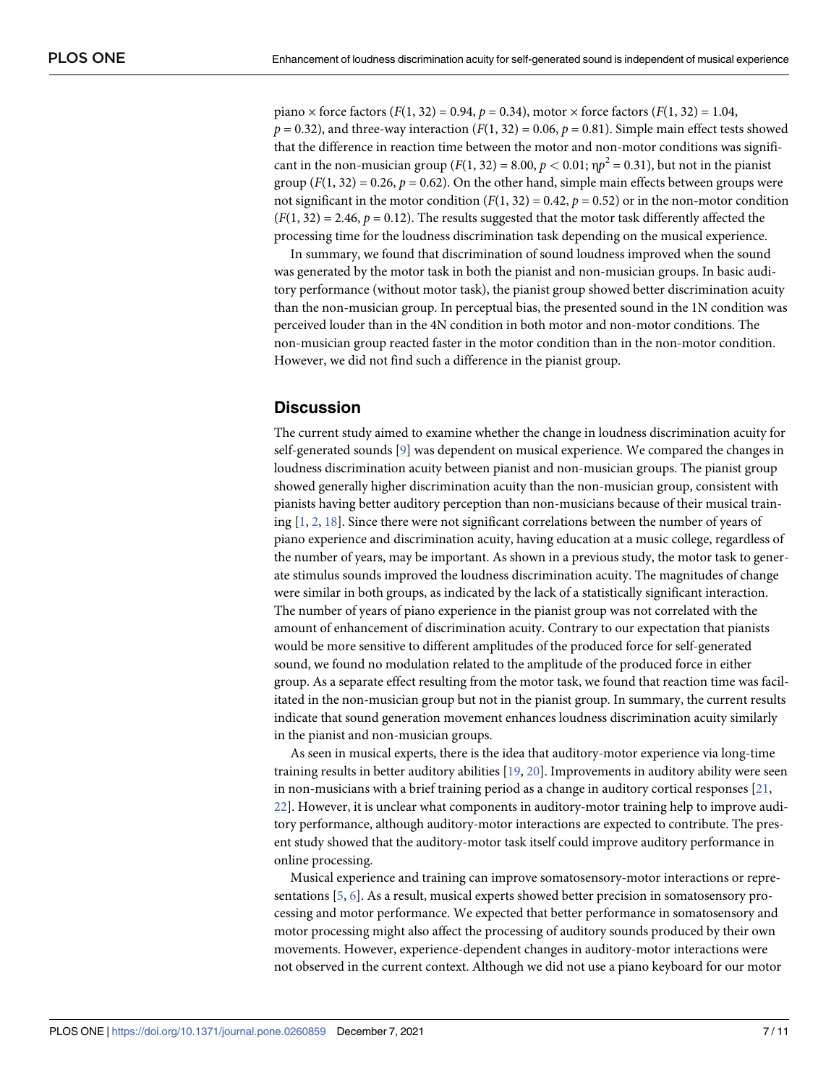<span id="page-6-0"></span>piano  $\times$  force factors (*F*(1, 32) = 0.94, *p* = 0.34), motor  $\times$  force factors (*F*(1, 32) = 1.04,  $p = 0.32$ ), and three-way interaction  $(F(1, 32) = 0.06, p = 0.81)$ . Simple main effect tests showed that the difference in reaction time between the motor and non-motor conditions was significant in the non-musician group ( $F(1, 32) = 8.00, p < 0.01$ ;  $\eta p^2 = 0.31$ ), but not in the pianist group  $(F(1, 32) = 0.26$ ,  $p = 0.62)$ . On the other hand, simple main effects between groups were not significant in the motor condition  $(F(1, 32) = 0.42, p = 0.52)$  or in the non-motor condition  $(F(1, 32) = 2.46, p = 0.12)$ . The results suggested that the motor task differently affected the processing time for the loudness discrimination task depending on the musical experience.

In summary, we found that discrimination of sound loudness improved when the sound was generated by the motor task in both the pianist and non-musician groups. In basic auditory performance (without motor task), the pianist group showed better discrimination acuity than the non-musician group. In perceptual bias, the presented sound in the 1N condition was perceived louder than in the 4N condition in both motor and non-motor conditions. The non-musician group reacted faster in the motor condition than in the non-motor condition. However, we did not find such a difference in the pianist group.

# **Discussion**

The current study aimed to examine whether the change in loudness discrimination acuity for self-generated sounds [[9\]](#page-9-0) was dependent on musical experience. We compared the changes in loudness discrimination acuity between pianist and non-musician groups. The pianist group showed generally higher discrimination acuity than the non-musician group, consistent with pianists having better auditory perception than non-musicians because of their musical training  $[1, 2, 18]$  $[1, 2, 18]$  $[1, 2, 18]$  $[1, 2, 18]$  $[1, 2, 18]$  $[1, 2, 18]$ . Since there were not significant correlations between the number of years of piano experience and discrimination acuity, having education at a music college, regardless of the number of years, may be important. As shown in a previous study, the motor task to generate stimulus sounds improved the loudness discrimination acuity. The magnitudes of change were similar in both groups, as indicated by the lack of a statistically significant interaction. The number of years of piano experience in the pianist group was not correlated with the amount of enhancement of discrimination acuity. Contrary to our expectation that pianists would be more sensitive to different amplitudes of the produced force for self-generated sound, we found no modulation related to the amplitude of the produced force in either group. As a separate effect resulting from the motor task, we found that reaction time was facilitated in the non-musician group but not in the pianist group. In summary, the current results indicate that sound generation movement enhances loudness discrimination acuity similarly in the pianist and non-musician groups.

As seen in musical experts, there is the idea that auditory-motor experience via long-time training results in better auditory abilities [\[19,](#page-9-0) [20\]](#page-9-0). Improvements in auditory ability were seen in non-musicians with a brief training period as a change in auditory cortical responses [[21](#page-9-0), [22\]](#page-9-0). However, it is unclear what components in auditory-motor training help to improve auditory performance, although auditory-motor interactions are expected to contribute. The present study showed that the auditory-motor task itself could improve auditory performance in online processing.

Musical experience and training can improve somatosensory-motor interactions or representations [\[5,](#page-8-0) [6](#page-8-0)]. As a result, musical experts showed better precision in somatosensory processing and motor performance. We expected that better performance in somatosensory and motor processing might also affect the processing of auditory sounds produced by their own movements. However, experience-dependent changes in auditory-motor interactions were not observed in the current context. Although we did not use a piano keyboard for our motor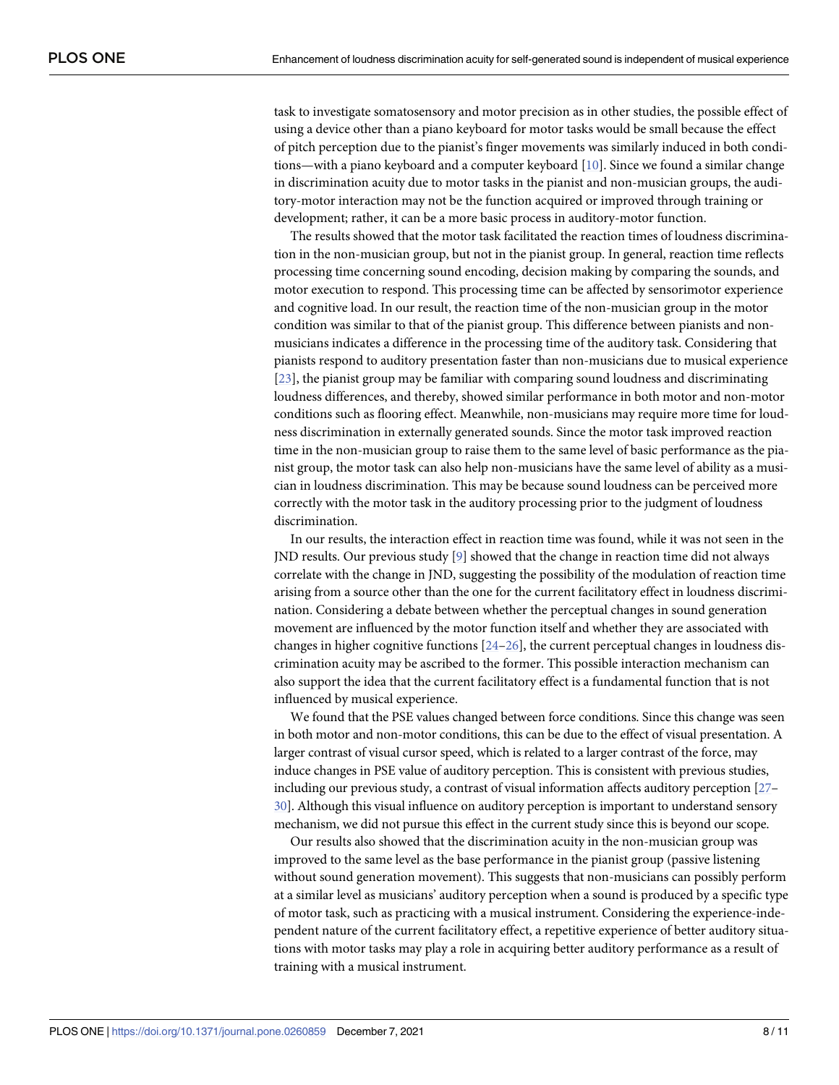<span id="page-7-0"></span>task to investigate somatosensory and motor precision as in other studies, the possible effect of using a device other than a piano keyboard for motor tasks would be small because the effect of pitch perception due to the pianist's finger movements was similarly induced in both condi-tions—with a piano keyboard and a computer keyboard [[10](#page-9-0)]. Since we found a similar change in discrimination acuity due to motor tasks in the pianist and non-musician groups, the auditory-motor interaction may not be the function acquired or improved through training or development; rather, it can be a more basic process in auditory-motor function.

The results showed that the motor task facilitated the reaction times of loudness discrimination in the non-musician group, but not in the pianist group. In general, reaction time reflects processing time concerning sound encoding, decision making by comparing the sounds, and motor execution to respond. This processing time can be affected by sensorimotor experience and cognitive load. In our result, the reaction time of the non-musician group in the motor condition was similar to that of the pianist group. This difference between pianists and nonmusicians indicates a difference in the processing time of the auditory task. Considering that pianists respond to auditory presentation faster than non-musicians due to musical experience [\[23\]](#page-9-0), the pianist group may be familiar with comparing sound loudness and discriminating loudness differences, and thereby, showed similar performance in both motor and non-motor conditions such as flooring effect. Meanwhile, non-musicians may require more time for loudness discrimination in externally generated sounds. Since the motor task improved reaction time in the non-musician group to raise them to the same level of basic performance as the pianist group, the motor task can also help non-musicians have the same level of ability as a musician in loudness discrimination. This may be because sound loudness can be perceived more correctly with the motor task in the auditory processing prior to the judgment of loudness discrimination.

In our results, the interaction effect in reaction time was found, while it was not seen in the JND results. Our previous study [\[9\]](#page-9-0) showed that the change in reaction time did not always correlate with the change in JND, suggesting the possibility of the modulation of reaction time arising from a source other than the one for the current facilitatory effect in loudness discrimination. Considering a debate between whether the perceptual changes in sound generation movement are influenced by the motor function itself and whether they are associated with changes in higher cognitive functions  $[24-26]$ , the current perceptual changes in loudness discrimination acuity may be ascribed to the former. This possible interaction mechanism can also support the idea that the current facilitatory effect is a fundamental function that is not influenced by musical experience.

We found that the PSE values changed between force conditions. Since this change was seen in both motor and non-motor conditions, this can be due to the effect of visual presentation. A larger contrast of visual cursor speed, which is related to a larger contrast of the force, may induce changes in PSE value of auditory perception. This is consistent with previous studies, including our previous study, a contrast of visual information affects auditory perception [[27](#page-9-0)– [30](#page-9-0)]. Although this visual influence on auditory perception is important to understand sensory mechanism, we did not pursue this effect in the current study since this is beyond our scope.

Our results also showed that the discrimination acuity in the non-musician group was improved to the same level as the base performance in the pianist group (passive listening without sound generation movement). This suggests that non-musicians can possibly perform at a similar level as musicians' auditory perception when a sound is produced by a specific type of motor task, such as practicing with a musical instrument. Considering the experience-independent nature of the current facilitatory effect, a repetitive experience of better auditory situations with motor tasks may play a role in acquiring better auditory performance as a result of training with a musical instrument.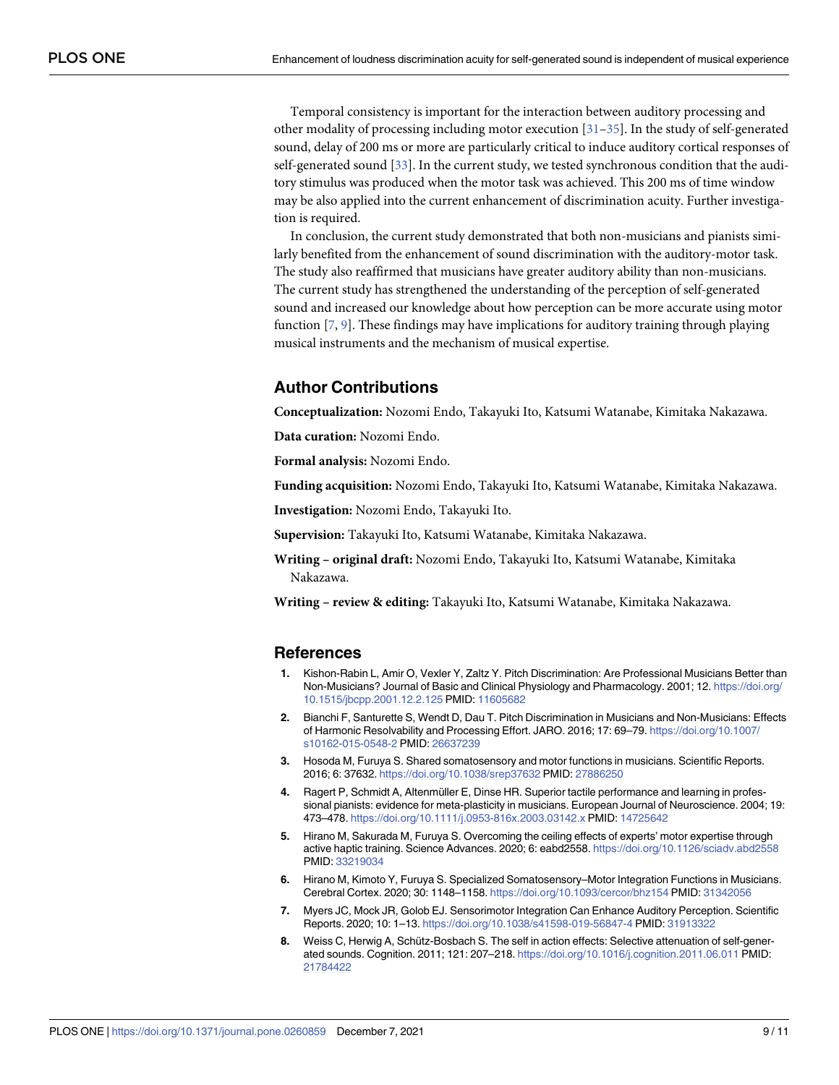<span id="page-8-0"></span>Temporal consistency is important for the interaction between auditory processing and other modality of processing including motor execution  $[31-35]$  $[31-35]$  $[31-35]$ . In the study of self-generated sound, delay of 200 ms or more are particularly critical to induce auditory cortical responses of self-generated sound [\[33\]](#page-10-0). In the current study, we tested synchronous condition that the auditory stimulus was produced when the motor task was achieved. This 200 ms of time window may be also applied into the current enhancement of discrimination acuity. Further investigation is required.

In conclusion, the current study demonstrated that both non-musicians and pianists similarly benefited from the enhancement of sound discrimination with the auditory-motor task. The study also reaffirmed that musicians have greater auditory ability than non-musicians. The current study has strengthened the understanding of the perception of self-generated sound and increased our knowledge about how perception can be more accurate using motor function [7, [9\]](#page-9-0). These findings may have implications for auditory training through playing musical instruments and the mechanism of musical expertise.

# **Author Contributions**

**Conceptualization:** Nozomi Endo, Takayuki Ito, Katsumi Watanabe, Kimitaka Nakazawa.

**Data curation:** Nozomi Endo.

**Formal analysis:** Nozomi Endo.

**Funding acquisition:** Nozomi Endo, Takayuki Ito, Katsumi Watanabe, Kimitaka Nakazawa.

**Investigation:** Nozomi Endo, Takayuki Ito.

**Supervision:** Takayuki Ito, Katsumi Watanabe, Kimitaka Nakazawa.

**Writing – original draft:** Nozomi Endo, Takayuki Ito, Katsumi Watanabe, Kimitaka Nakazawa.

**Writing – review & editing:** Takayuki Ito, Katsumi Watanabe, Kimitaka Nakazawa.

#### **References**

- **[1](#page-0-0).** Kishon-Rabin L, Amir O, Vexler Y, Zaltz Y. Pitch Discrimination: Are Professional Musicians Better than Non-Musicians? Journal of Basic and Clinical Physiology and Pharmacology. 2001; 12. [https://doi.org/](https://doi.org/10.1515/jbcpp.2001.12.2.125) [10.1515/jbcpp.2001.12.2.125](https://doi.org/10.1515/jbcpp.2001.12.2.125) PMID: [11605682](http://www.ncbi.nlm.nih.gov/pubmed/11605682)
- **[2](#page-0-0).** Bianchi F, Santurette S, Wendt D, Dau T. Pitch Discrimination in Musicians and Non-Musicians: Effects of Harmonic Resolvability and Processing Effort. JARO. 2016; 17: 69–79. [https://doi.org/10.1007/](https://doi.org/10.1007/s10162-015-0548-2) [s10162-015-0548-2](https://doi.org/10.1007/s10162-015-0548-2) PMID: [26637239](http://www.ncbi.nlm.nih.gov/pubmed/26637239)
- **[3](#page-0-0).** Hosoda M, Furuya S. Shared somatosensory and motor functions in musicians. Scientific Reports. 2016; 6: 37632. <https://doi.org/10.1038/srep37632> PMID: [27886250](http://www.ncbi.nlm.nih.gov/pubmed/27886250)
- **[4](#page-0-0).** Ragert P, Schmidt A, Altenmüller E, Dinse HR. Superior tactile performance and learning in professional pianists: evidence for meta-plasticity in musicians. European Journal of Neuroscience. 2004; 19: 473–478. <https://doi.org/10.1111/j.0953-816x.2003.03142.x> PMID: [14725642](http://www.ncbi.nlm.nih.gov/pubmed/14725642)
- **[5](#page-0-0).** Hirano M, Sakurada M, Furuya S. Overcoming the ceiling effects of experts' motor expertise through active haptic training. Science Advances. 2020; 6: eabd2558. <https://doi.org/10.1126/sciadv.abd2558> PMID: [33219034](http://www.ncbi.nlm.nih.gov/pubmed/33219034)
- **[6](#page-0-0).** Hirano M, Kimoto Y, Furuya S. Specialized Somatosensory–Motor Integration Functions in Musicians. Cerebral Cortex. 2020; 30: 1148–1158. <https://doi.org/10.1093/cercor/bhz154> PMID: [31342056](http://www.ncbi.nlm.nih.gov/pubmed/31342056)
- **[7](#page-1-0).** Myers JC, Mock JR, Golob EJ. Sensorimotor Integration Can Enhance Auditory Perception. Scientific Reports. 2020; 10: 1–13. <https://doi.org/10.1038/s41598-019-56847-4> PMID: [31913322](http://www.ncbi.nlm.nih.gov/pubmed/31913322)
- **[8](#page-1-0).** Weiss C, Herwig A, Schütz-Bosbach S. The self in action effects: Selective attenuation of self-generated sounds. Cognition. 2011; 121: 207–218. <https://doi.org/10.1016/j.cognition.2011.06.011> PMID: [21784422](http://www.ncbi.nlm.nih.gov/pubmed/21784422)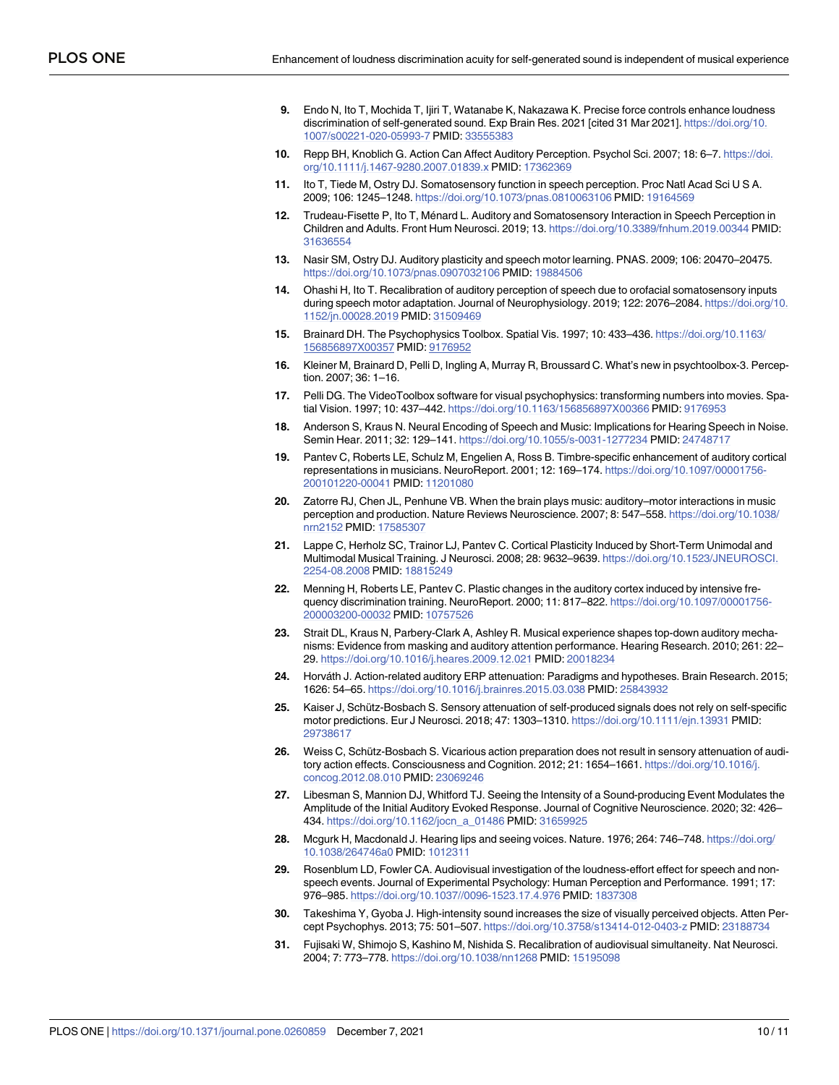- <span id="page-9-0"></span>**[9](#page-1-0).** Endo N, Ito T, Mochida T, Ijiri T, Watanabe K, Nakazawa K. Precise force controls enhance loudness discrimination of self-generated sound. Exp Brain Res. 2021 [cited 31 Mar 2021]. [https://doi.org/10.](https://doi.org/10.1007/s00221-020-05993-7) [1007/s00221-020-05993-7](https://doi.org/10.1007/s00221-020-05993-7) PMID: [33555383](http://www.ncbi.nlm.nih.gov/pubmed/33555383)
- **[10](#page-1-0).** Repp BH, Knoblich G. Action Can Affect Auditory Perception. Psychol Sci. 2007; 18: 6–7. [https://doi.](https://doi.org/10.1111/j.1467-9280.2007.01839.x) [org/10.1111/j.1467-9280.2007.01839.x](https://doi.org/10.1111/j.1467-9280.2007.01839.x) PMID: [17362369](http://www.ncbi.nlm.nih.gov/pubmed/17362369)
- **[11](#page-1-0).** Ito T, Tiede M, Ostry DJ. Somatosensory function in speech perception. Proc Natl Acad Sci U S A. 2009; 106: 1245–1248. <https://doi.org/10.1073/pnas.0810063106> PMID: [19164569](http://www.ncbi.nlm.nih.gov/pubmed/19164569)
- **[12](#page-1-0).** Trudeau-Fisette P, Ito T, Ménard L. Auditory and Somatosensory Interaction in Speech Perception in Children and Adults. Front Hum Neurosci. 2019; 13. <https://doi.org/10.3389/fnhum.2019.00344> PMID: [31636554](http://www.ncbi.nlm.nih.gov/pubmed/31636554)
- **[13](#page-1-0).** Nasir SM, Ostry DJ. Auditory plasticity and speech motor learning. PNAS. 2009; 106: 20470–20475. <https://doi.org/10.1073/pnas.0907032106> PMID: [19884506](http://www.ncbi.nlm.nih.gov/pubmed/19884506)
- **[14](#page-1-0).** Ohashi H, Ito T. Recalibration of auditory perception of speech due to orofacial somatosensory inputs during speech motor adaptation. Journal of Neurophysiology. 2019; 122: 2076–2084. [https://doi.org/10.](https://doi.org/10.1152/jn.00028.2019) [1152/jn.00028.2019](https://doi.org/10.1152/jn.00028.2019) PMID: [31509469](http://www.ncbi.nlm.nih.gov/pubmed/31509469)
- **[15](#page-2-0).** Brainard DH. The Psychophysics Toolbox. Spatial Vis. 1997; 10: 433–436. [https://doi.org/10.1163/](https://doi.org/10.1163/156856897X00357) [156856897X00357](https://doi.org/10.1163/156856897X00357) PMID: [9176952](http://www.ncbi.nlm.nih.gov/pubmed/9176952)
- **16.** Kleiner M, Brainard D, Pelli D, Ingling A, Murray R, Broussard C. What's new in psychtoolbox-3. Perception. 2007; 36: 1–16.
- **[17](#page-2-0).** Pelli DG. The VideoToolbox software for visual psychophysics: transforming numbers into movies. Spatial Vision. 1997; 10: 437–442. <https://doi.org/10.1163/156856897X00366> PMID: [9176953](http://www.ncbi.nlm.nih.gov/pubmed/9176953)
- **[18](#page-6-0).** Anderson S, Kraus N. Neural Encoding of Speech and Music: Implications for Hearing Speech in Noise. Semin Hear. 2011; 32: 129–141. <https://doi.org/10.1055/s-0031-1277234> PMID: [24748717](http://www.ncbi.nlm.nih.gov/pubmed/24748717)
- **[19](#page-6-0).** Pantev C, Roberts LE, Schulz M, Engelien A, Ross B. Timbre-specific enhancement of auditory cortical representations in musicians. NeuroReport. 2001; 12: 169–174. [https://doi.org/10.1097/00001756-](https://doi.org/10.1097/00001756-200101220-00041) [200101220-00041](https://doi.org/10.1097/00001756-200101220-00041) PMID: [11201080](http://www.ncbi.nlm.nih.gov/pubmed/11201080)
- **[20](#page-6-0).** Zatorre RJ, Chen JL, Penhune VB. When the brain plays music: auditory–motor interactions in music perception and production. Nature Reviews Neuroscience. 2007; 8: 547–558. [https://doi.org/10.1038/](https://doi.org/10.1038/nrn2152) [nrn2152](https://doi.org/10.1038/nrn2152) PMID: [17585307](http://www.ncbi.nlm.nih.gov/pubmed/17585307)
- **[21](#page-6-0).** Lappe C, Herholz SC, Trainor LJ, Pantev C. Cortical Plasticity Induced by Short-Term Unimodal and Multimodal Musical Training. J Neurosci. 2008; 28: 9632–9639. [https://doi.org/10.1523/JNEUROSCI.](https://doi.org/10.1523/JNEUROSCI.2254-08.2008) [2254-08.2008](https://doi.org/10.1523/JNEUROSCI.2254-08.2008) PMID: [18815249](http://www.ncbi.nlm.nih.gov/pubmed/18815249)
- **[22](#page-6-0).** Menning H, Roberts LE, Pantev C. Plastic changes in the auditory cortex induced by intensive frequency discrimination training. NeuroReport. 2000; 11: 817–822. [https://doi.org/10.1097/00001756-](https://doi.org/10.1097/00001756-200003200-00032) [200003200-00032](https://doi.org/10.1097/00001756-200003200-00032) PMID: [10757526](http://www.ncbi.nlm.nih.gov/pubmed/10757526)
- **[23](#page-7-0).** Strait DL, Kraus N, Parbery-Clark A, Ashley R. Musical experience shapes top-down auditory mechanisms: Evidence from masking and auditory attention performance. Hearing Research. 2010; 261: 22– 29. <https://doi.org/10.1016/j.heares.2009.12.021> PMID: [20018234](http://www.ncbi.nlm.nih.gov/pubmed/20018234)
- **[24](#page-7-0).** Horva´th J. Action-related auditory ERP attenuation: Paradigms and hypotheses. Brain Research. 2015; 1626: 54–65. <https://doi.org/10.1016/j.brainres.2015.03.038> PMID: [25843932](http://www.ncbi.nlm.nih.gov/pubmed/25843932)
- 25. Kaiser J, Schütz-Bosbach S. Sensory attenuation of self-produced signals does not rely on self-specific motor predictions. Eur J Neurosci. 2018; 47: 1303–1310. <https://doi.org/10.1111/ejn.13931> PMID: [29738617](http://www.ncbi.nlm.nih.gov/pubmed/29738617)
- **[26](#page-7-0).** Weiss C, Schütz-Bosbach S. Vicarious action preparation does not result in sensory attenuation of auditory action effects. Consciousness and Cognition. 2012; 21: 1654–1661. [https://doi.org/10.1016/j.](https://doi.org/10.1016/j.concog.2012.08.010) [concog.2012.08.010](https://doi.org/10.1016/j.concog.2012.08.010) PMID: [23069246](http://www.ncbi.nlm.nih.gov/pubmed/23069246)
- **[27](#page-7-0).** Libesman S, Mannion DJ, Whitford TJ. Seeing the Intensity of a Sound-producing Event Modulates the Amplitude of the Initial Auditory Evoked Response. Journal of Cognitive Neuroscience. 2020; 32: 426– 434. [https://doi.org/10.1162/jocn\\_a\\_01486](https://doi.org/10.1162/jocn%5Fa%5F01486) PMID: [31659925](http://www.ncbi.nlm.nih.gov/pubmed/31659925)
- **28.** Mcgurk H, Macdonald J. Hearing lips and seeing voices. Nature. 1976; 264: 746–748. [https://doi.org/](https://doi.org/10.1038/264746a0) [10.1038/264746a0](https://doi.org/10.1038/264746a0) PMID: [1012311](http://www.ncbi.nlm.nih.gov/pubmed/1012311)
- **29.** Rosenblum LD, Fowler CA. Audiovisual investigation of the loudness-effort effect for speech and nonspeech events. Journal of Experimental Psychology: Human Perception and Performance. 1991; 17: 976–985. <https://doi.org/10.1037//0096-1523.17.4.976> PMID: [1837308](http://www.ncbi.nlm.nih.gov/pubmed/1837308)
- **[30](#page-7-0).** Takeshima Y, Gyoba J. High-intensity sound increases the size of visually perceived objects. Atten Percept Psychophys. 2013; 75: 501–507. <https://doi.org/10.3758/s13414-012-0403-z> PMID: [23188734](http://www.ncbi.nlm.nih.gov/pubmed/23188734)
- **[31](#page-8-0).** Fujisaki W, Shimojo S, Kashino M, Nishida S. Recalibration of audiovisual simultaneity. Nat Neurosci. 2004; 7: 773–778. <https://doi.org/10.1038/nn1268> PMID: [15195098](http://www.ncbi.nlm.nih.gov/pubmed/15195098)